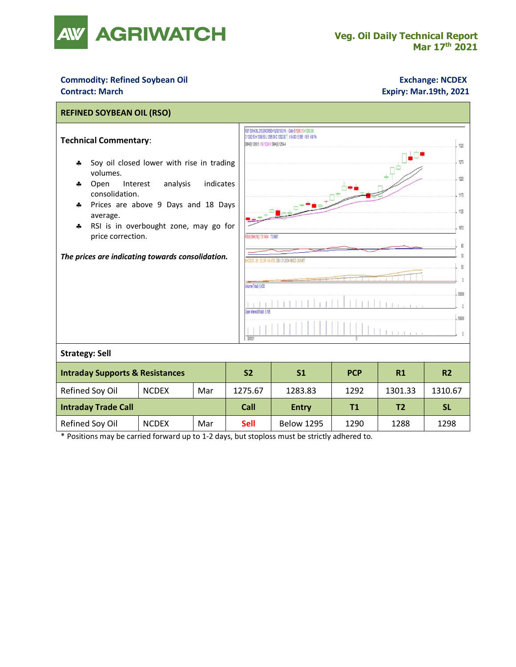

## **Commodity: Refined Soybean Oil**<br> **Contract: March**<br> **Contract: March**<br> **Contract: March**<br> **Contract: March**

## **Contract: March Expiry: Mar.19th, 2021**

| <b>REFINED SOYBEAN OIL (RSO)</b>                                                                                                                                                                                                                                                                                                               |              |     |                |                                                                                                                                                                                                                                                                                                                                                                                                       |            |                |                |  |  |  |  |
|------------------------------------------------------------------------------------------------------------------------------------------------------------------------------------------------------------------------------------------------------------------------------------------------------------------------------------------------|--------------|-----|----------------|-------------------------------------------------------------------------------------------------------------------------------------------------------------------------------------------------------------------------------------------------------------------------------------------------------------------------------------------------------------------------------------------------------|------------|----------------|----------------|--|--|--|--|
| <b>Technical Commentary:</b><br>Soy oil closed lower with rise in trading<br>4<br>volumes.<br>analysis<br>indicates<br>Open<br>Interest<br>4<br>consolidation.<br>Prices are above 9 Days and 18 Days<br>٠.<br>average.<br>RSI is in overbought zone, may go for<br>4<br>price correction.<br>The prices are indicating towards consolidation. |              |     |                | REF SOYAOIL 2103/NCRSEH1/2021/03/16 - Daily B:1290.10 A:1293.90<br>0130250H130850L1285.00C1292.00 1/6,43015,195-10.5-0.81%<br>EMA(9) 1260.5 (18) 1224.9 SMA(9) 1254.4<br>1320<br>1270<br>1220<br>1170<br>1120<br>1070<br>RSI/9.SM4(18)) 73.1404 73.0987<br>30<br>012 26 1210F 434762 DEA 312034 MACD 245457<br>$\overline{50}$<br>Volume(Total) 6,430<br>50000<br>Inen InterestiTotall 5.195<br>50000 |            |                |                |  |  |  |  |
| <b>Strategy: Sell</b>                                                                                                                                                                                                                                                                                                                          |              |     |                |                                                                                                                                                                                                                                                                                                                                                                                                       |            |                |                |  |  |  |  |
| <b>Intraday Supports &amp; Resistances</b>                                                                                                                                                                                                                                                                                                     |              |     | S <sub>2</sub> | S <sub>1</sub>                                                                                                                                                                                                                                                                                                                                                                                        | <b>PCP</b> | R1             | R <sub>2</sub> |  |  |  |  |
| Refined Soy Oil                                                                                                                                                                                                                                                                                                                                | <b>NCDEX</b> | Mar | 1275.67        | 1283.83                                                                                                                                                                                                                                                                                                                                                                                               | 1292       | 1301.33        | 1310.67        |  |  |  |  |
| <b>Intraday Trade Call</b>                                                                                                                                                                                                                                                                                                                     |              |     | Call           | <b>Entry</b>                                                                                                                                                                                                                                                                                                                                                                                          | T1         | T <sub>2</sub> | <b>SL</b>      |  |  |  |  |
| Refined Soy Oil                                                                                                                                                                                                                                                                                                                                | <b>NCDEX</b> | Mar | <b>Sell</b>    | <b>Below 1295</b>                                                                                                                                                                                                                                                                                                                                                                                     | 1290       | 1288           | 1298           |  |  |  |  |
| * Positions may be carried forward up to 1-2 days, but stoploss must be strictly adhered to.                                                                                                                                                                                                                                                   |              |     |                |                                                                                                                                                                                                                                                                                                                                                                                                       |            |                |                |  |  |  |  |